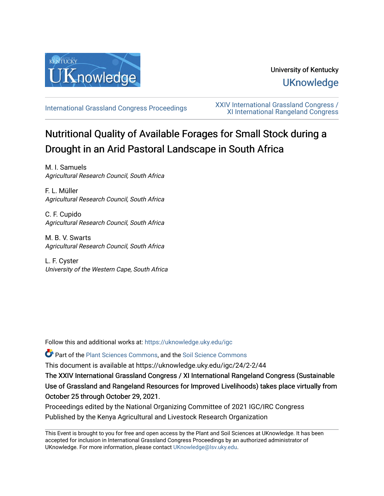

# University of Kentucky **UKnowledge**

[International Grassland Congress Proceedings](https://uknowledge.uky.edu/igc) [XXIV International Grassland Congress /](https://uknowledge.uky.edu/igc/24)  [XI International Rangeland Congress](https://uknowledge.uky.edu/igc/24) 

# Nutritional Quality of Available Forages for Small Stock during a Drought in an Arid Pastoral Landscape in South Africa

M. I. Samuels Agricultural Research Council, South Africa

F. L. Müller Agricultural Research Council, South Africa

C. F. Cupido Agricultural Research Council, South Africa

M. B. V. Swarts Agricultural Research Council, South Africa

L. F. Cyster University of the Western Cape, South Africa

Follow this and additional works at: [https://uknowledge.uky.edu/igc](https://uknowledge.uky.edu/igc?utm_source=uknowledge.uky.edu%2Figc%2F24%2F2-2%2F44&utm_medium=PDF&utm_campaign=PDFCoverPages) 

Part of the [Plant Sciences Commons](http://network.bepress.com/hgg/discipline/102?utm_source=uknowledge.uky.edu%2Figc%2F24%2F2-2%2F44&utm_medium=PDF&utm_campaign=PDFCoverPages), and the [Soil Science Commons](http://network.bepress.com/hgg/discipline/163?utm_source=uknowledge.uky.edu%2Figc%2F24%2F2-2%2F44&utm_medium=PDF&utm_campaign=PDFCoverPages) 

This document is available at https://uknowledge.uky.edu/igc/24/2-2/44

The XXIV International Grassland Congress / XI International Rangeland Congress (Sustainable Use of Grassland and Rangeland Resources for Improved Livelihoods) takes place virtually from October 25 through October 29, 2021.

Proceedings edited by the National Organizing Committee of 2021 IGC/IRC Congress Published by the Kenya Agricultural and Livestock Research Organization

This Event is brought to you for free and open access by the Plant and Soil Sciences at UKnowledge. It has been accepted for inclusion in International Grassland Congress Proceedings by an authorized administrator of UKnowledge. For more information, please contact [UKnowledge@lsv.uky.edu](mailto:UKnowledge@lsv.uky.edu).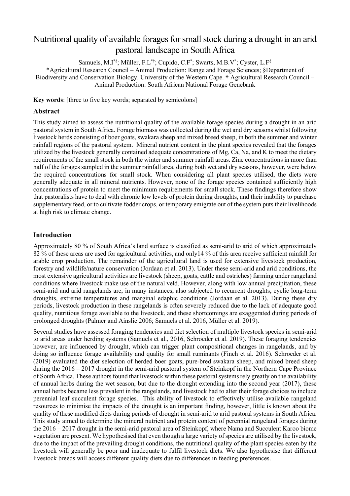# Nutritional quality of available forages forsmall stock during a drought in an arid pastoral landscape in South Africa

Samuels, M.I\*§ ; Müller, F.L\*† ; Cupido, C.F\* ; Swarts, M.B.V\* ; Cyster, L.F§

\*Agricultural Research Council – Animal Production: Range and Forage Sciences; §Department of Biodiversity and Conservation Biology. University of the Western Cape. † Agricultural Research Council – Animal Production: South African National Forage Genebank

**Key words**: [three to five key words; separated by semicolons]

## **Abstract**

This study aimed to assess the nutritional quality of the available forage species during a drought in an arid pastoral system in South Africa. Forage biomass was collected during the wet and dry seasons whilst following livestock herds consisting of boer goats, swakara sheep and mixed breed sheep, in both the summer and winter rainfall regions of the pastoral system. Mineral nutrient content in the plant species revealed that the forages utilized by the livestock generally contained adequate concentrations of Mg, Ca, Na, and K to meet the dietary requirements of the small stock in both the winter and summer rainfall areas. Zinc concentrations in more than half of the forages sampled in the summer rainfall area, during both wet and dry seasons, however, were below the required concentrations for small stock. When considering all plant species utilised, the diets were generally adequate in all mineral nutrients. However, none of the forage species contained sufficiently high concentrations of protein to meet the minimum requirements for small stock. These findings therefore show that pastoralists have to deal with chronic low levels of protein during droughts, and their inability to purchase supplementary feed, or to cultivate fodder crops, or temporary emigrate out of the system puts their livelihoods at high risk to climate change.

## **Introduction**

Approximately 80 % of South Africa's land surface is classified as semi-arid to arid of which approximately 82 % of these areas are used for agricultural activities, and only14 % of this area receive sufficient rainfall for arable crop production. The remainder of the agricultural land is used for extensive livestock production, forestry and wildlife/nature conservation (Jordaan et al. 2013). Under these semi-arid and arid conditions, the most extensive agricultural activities are livestock (sheep, goats, cattle and ostriches) farming under rangeland conditions where livestock make use of the natural veld. However, along with low annual precipitation, these semi-arid and arid rangelands are, in many instances, also subjected to recurrent droughts, cyclic long-term droughts, extreme temperatures and marginal edaphic conditions (Jordaan et al. 2013). During these dry periods, livestock production in these rangelands is often severely reduced due to the lack of adequate good quality, nutritious forage available to the livestock, and these shortcomings are exaggerated during periods of prolonged droughts (Palmer and Ainslie 2006; Samuels et al. 2016, Müller et al. 2019).

Several studies have assessed foraging tendencies and diet selection of multiple livestock species in semi-arid to arid areas under herding systems (Samuels et al., 2016, Schroeder et al. 2019). These foraging tendencies however, are influenced by drought, which can trigger plant compositional changes in rangelands, and by doing so influence forage availability and quality for small ruminants (Finch et al. 2016). Schroeder et al. (2019) evaluated the diet selection of herded boer goats, pure-bred swakara sheep, and mixed breed sheep during the 2016 – 2017 drought in the semi-arid pastoral system of Steinkopf in the Northern Cape Province of South Africa. These authors found that livestock within these pastoral systems rely greatly on the availability of annual herbs during the wet season, but due to the drought extending into the second year (2017), these annual herbs became less prevalent in the rangelands, and livestock had to alter their forage choices to include perennial leaf succulent forage species. This ability of livestock to effectively utilise available rangeland resources to minimise the impacts of the drought is an important finding, however, little is known about the quality of these modified diets during periods of drought in semi-arid to arid pastoral systems in South Africa. This study aimed to determine the mineral nutrient and protein content of perennial rangeland forages during the 2016 – 2017 drought in the semi-arid pastoral area of Steinkopf, where Nama and Succulent Karoo biome vegetation are present. We hypothesised that even though a large variety of species are utilised by the livestock, due to the impact of the prevailing drought conditions, the nutritional quality of the plant species eaten by the livestock will generally be poor and inadequate to fulfil livestock diets. We also hypothesise that different livestock breeds will access different quality diets due to differences in feeding preferences.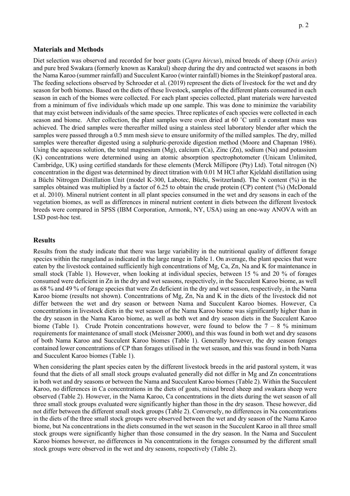#### **Materials and Methods**

Diet selection was observed and recorded for boer goats (*Capra hircus*), mixed breeds of sheep (*Ovis aries*) and pure bred Swakara (formerly known as Karakul) sheep during the dry and contracted wet seasons in both the Nama Karoo (summer rainfall) and Succulent Karoo (winter rainfall) biomes in the Steinkopf pastoral area. The feeding selections observed by Schroeder et al. (2019) represent the diets of livestock for the wet and dry season for both biomes. Based on the diets of these livestock, samples of the different plants consumed in each season in each of the biomes were collected. For each plant species collected, plant materials were harvested from a minimum of five individuals which made up one sample. This was done to minimize the variability that may exist between individuals of the same species. Three replicates of each species were collected in each season and biome. After collection, the plant samples were oven dried at 60 ˚C until a constant mass was achieved. The dried samples were thereafter milled using a stainless steel laboratory blender after which the samples were passed through a 0.5 mm mesh sieve to ensure uniformity of the milled samples. The dry, milled samples were thereafter digested using a sulphuric-peroxide digestion method (Moore and Chapman 1986). Using the aqueous solution, the total magnesium  $(Mg)$ , calcium  $(Ca)$ , Zinc  $(Zn)$ , sodium  $(Na)$  and potassium (K) concentrations were determined using an atomic absorption spectrophotometer (Unicam Unlimited, Cambridge, UK) using certified standards for these elements (Merck Millipore (Pty) Ltd). Total nitrogen (N) concentration in the digest was determined by direct titration with 0.01 M HCl after Kjeldahl distillation using a Büchi Nitrogen Distillation Unit (model K-300, Labotec, Büchi, Switzerland). The N content (%) in the samples obtained was multiplied by a factor of 6.25 to obtain the crude protein (CP) content (%) (McDonald et al. 2010). Mineral nutrient content in all plant species consumed in the wet and dry seasons in each of the vegetation biomes, as well as differences in mineral nutrient content in diets between the different livestock breeds were compared in SPSS (IBM Corporation, Armonk, NY, USA) using an one-way ANOVA with an LSD post-hoc test.

#### **Results**

Results from the study indicate that there was large variability in the nutritional quality of different forage species within the rangeland as indicated in the large range in Table 1. On average, the plant species that were eaten by the livestock contained sufficiently high concentrations of Mg, Ca, Zn, Na and K for maintenance in small stock (Table 1). However, when looking at individual species, between 15 % and 20 % of forages consumed were deficient in Zn in the dry and wet seasons, respectively, in the Succulent Karoo biome, as well as 68 % and 49 % of forage species that were Zn deficient in the dry and wet season, respectively, in the Nama Karoo biome (results not shown). Concentrations of Mg, Zn, Na and K in the diets of the livestock did not differ between the wet and dry season or between Nama and Succulent Karoo biomes. However, Ca concentrations in livestock diets in the wet season of the Nama Karoo biome was significantly higher than in the dry season in the Nama Karoo biome, as well as both wet and dry season diets in the Succulent Karoo biome (Table 1). Crude Protein concentrations however, were found to below the  $7 - 8$  % minimum requirements for maintenance of small stock (Meissner 2000), and this was found in both wet and dry seasons of both Nama Karoo and Succulent Karoo biomes (Table 1). Generally however, the dry season forages contained lower concentrations of CP than forages utilised in the wet season, and this was found in both Nama and Succulent Karoo biomes (Table 1).

When considering the plant species eaten by the different livestock breeds in the arid pastoral system, it was found that the diets of all small stock groups evaluated generally did not differ in Mg and Zn concentrations in both wet and dry seasons or between the Nama and Succulent Karoo biomes (Table 2). Within the Succulent Karoo, no differences in Ca concentrations in the diets of goats, mixed breed sheep and swakara sheep were observed (Table 2). However, in the Nama Karoo, Ca concentrations in the diets during the wet season of all three small stock groups evaluated were significantly higher than those in the dry season. These however, did not differ between the different small stock groups (Table 2). Conversely, no differences in Na concentrations in the diets of the three small stock groups were observed between the wet and dry season of the Nama Karoo biome, but Na concentrations in the diets consumed in the wet season in the Succulent Karoo in all three small stock groups were significantly higher than those consumed in the dry season. In the Nama and Succulent Karoo biomes however, no differences in Na concentrations in the forages consumed by the different small stock groups were observed in the wet and dry seasons, respectively (Table 2).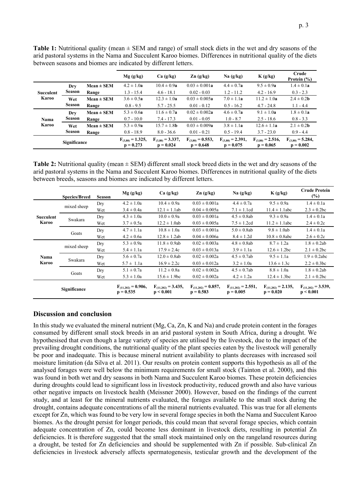**Mg (g/kg) Ca (g/kg) Zn (g/kg) Na (g/kg) K (g/kg) Crude Protein (%) Succulent Karoo Dry Season Mean**  $\pm$  **SEM**  $4.2 \pm 1.0$ **a**  $10.4 \pm 0.9$ **a**  $0.03 \pm 0.001$ **a**  $4.4 \pm 0.7$ **a**  $9.5 \pm 0.9$ **a**  $1.4 \pm 0.1$ **a Range** 1.3 - 15.4 4.6 - 18.1 0.02 - 0.03 1.2 - 11.2 4.2 - 16.9 0.3 - 2.3 **Wet Season Mean**  $\pm$  **SEM** 3.6  $\pm$  0.5**a** 12.3  $\pm$  1.0**a** 0.03  $\pm$  0.005**a** 7.0  $\pm$  1.1**a** 11.2  $\pm$  1.0**a** 2.4  $\pm$  0.2**b Range** 0.8 - 9.5 5.7 - 25.5 0.01 - 0.12 0.5 - 16.2 4.7 - 24.8 1.1 - 4.4 **Nama Karoo Dry Season Mean ± SEM** 5.3 ± 0.6**a** 11.6 ± 0.7**a** 0.02 ± 0.002**a** 4.6 ± 0.7**a** 9.1 ± 1.0**a** 1.8 ± 0.1**a Range** 0.7 - 10.0 7.4 - 17.3 0.01 - 0.05 1.0 - 8.7 2.5 - 18.6 0.8 - 3.3 **Wet Season Mean**  $\pm$  **SEM**  $5.3 \pm 0.9$ **a**  $15.7 \pm 1.8$ **b**  $0.03 \pm 0.009$ **a**  $3.8 \pm 1.1$ **a**  $12.6 \pm 1.1$ **a**  $2.1 \pm 0.2$ **b Range** 0.8 - 18.9 8.0 - 36.6 0.01 - 0.21 0.5 - 19.4 3.7 - 23.0 0.9 - 4.4 **Significance F**<sub>(3,80)</sub> **= 1.325**, **p = 0.273**  $F_{(3,80)} = 3.337,$ **p = 0.024**  $F_{(3,80)} = 0.553$ , **p = 0.648**  $F_{(3,80)} = 2.391,$ **p = 0.075**  $F_{(3,80)} = 2.516$ , **p = 0.065**  $F_{(3,80)} = 5.284,$ **p = 0.002**

between seasons and biomes are indicated by different letters.

**Table 1:** Nutritional quality (mean ± SEM and range) of small stock diets in the wet and dry seasons of the arid pastoral systems in the Nama and Succulent Karoo biomes. Differences in nutritional quality of the diets

**Table 2:** Nutritional quality (mean ± SEM) different small stock breed diets in the wet and dry seasons of the arid pastoral systems in the Nama and Succulent Karoo biomes. Differences in nutritional quality of the diets between breeds, seasons and biomes are indicated by different letters.

|                                  | <b>Species/Breed</b> | <b>Season</b> | Mg(g/kg)                                | Ca(g/kg)                              | Zn(g/kg)                                | Na(g/kg)                                | K(g/kg)                                 | <b>Crude Protein</b><br>$(\%)$        |
|----------------------------------|----------------------|---------------|-----------------------------------------|---------------------------------------|-----------------------------------------|-----------------------------------------|-----------------------------------------|---------------------------------------|
| <b>Succulent</b><br><b>Karoo</b> | mixed sheep          | Dry           | $4.2 \pm 1.0a$                          | $10.4 \pm 0.9a$                       | $0.03 \pm 0.001a$                       | $4.4 \pm 0.7a$                          | $9.5 \pm 0.9a$                          | $1.4 \pm 0.1a$                        |
|                                  |                      | Wet           | $3.4 \pm 0.4a$                          | $12.1 \pm 1.1$ ab                     | $0.04 \pm 0.005a$                       | $7.1 \pm 1.1$ cd                        | $11.4 \pm 1.1$ abc                      | $2.3 \pm 0.2$ bc                      |
|                                  | Swakara              | Dry           | $4.3 \pm 1.0a$                          | $10.0 \pm 0.9a$                       | $0.03 \pm 0.001a$                       | $4.5 \pm 0.8$ ab                        | $9.3 \pm 0.9a$                          | $1.4 \pm 0.1a$                        |
|                                  | Goats                | Wet           | $3.7 \pm 0.5a$                          | $12.2 \pm 1.0$ ab                     | $0.03 \pm 0.005a$                       | $7.5 \pm 1.2$ cd                        | $11.2 \pm 1.1$ abc                      | $2.4 \pm 0.2c$                        |
|                                  |                      | Dry           | $4.7 \pm 1.1a$                          | $10.8 \pm 1.0a$                       | $0.03 \pm 0.001a$                       | $5.0 \pm 0.8$ ab                        | $9.8 \pm 1.0$ ab                        | $1.4 \pm 0.1a$                        |
|                                  |                      | Wet           | $4.2 \pm 0.6a$                          | $12.8 \pm 1.2ab$                      | $0.04 \pm 0.006a$                       | $8.4 \pm 1.2d$                          | $10.8 \pm 0.8$ abc                      | $2.6 \pm 0.2c$                        |
| Nama<br><b>Karoo</b>             |                      | Dry           | $5.3 \pm 0.9a$                          | $11.8 \pm 0.9$ ab                     | $0.02 \pm 0.003a$                       | $4.8 \pm 0.8$ ab                        | $8.7 \pm 1.2a$                          | $1.8 \pm 0.2ab$                       |
|                                  | mixed sheep          | Wet           | $5.4 \pm 1.1a$                          | $17.9 \pm 2.4c$                       | $0.03 \pm 0.013a$                       | $3.9 \pm 1.1a$                          | $12.6 \pm 1.2$ bc                       | $2.1 \pm 0.2$ bc                      |
|                                  | Swakara              | Drv           | $5.6 \pm 0.7a$                          | $12.0 \pm 0.8$ ab                     | $0.02 \pm 0.002a$                       | $4.5 \pm 0.7$ ab                        | $9.5 \pm 1.1a$                          | $1.9 \pm 0.2$ abc                     |
|                                  |                      | Wet           | $5.7 \pm 1.1a$                          | $16.9 \pm 2.2c$                       | $0.03 \pm 0.012a$                       | $3.2 \pm 1.0a$                          | $13.6 \pm 1.3c$                         | $2.2 \pm 0.3$ bc                      |
|                                  | Goats                | Dry           | $5.1 \pm 0.7a$                          | $11.2 \pm 0.8a$                       | $0.02 \pm 0.002a$                       | $4.5 \pm 0.7$ ab                        | $8.8 \pm 1.0a$                          | $1.8 \pm 0.2ab$                       |
|                                  |                      | Wet           | $5.3 \pm 1.0a$                          | $15.6 \pm 1.9$ bc                     | $0.02 \pm 0.002a$                       | $4.2 \pm 1.2a$                          | $12.4 \pm 1.3$ bc                       | $2.1 \pm 0.2$ bc                      |
|                                  | Significance         |               | $F_{(11.202)} = 0.906$ ,<br>$p = 0.535$ | $F_{(11.202)} = 3.435$ ,<br>p < 0.001 | $F_{(11.202)} = 0.857$ ,<br>$p = 0.583$ | $F_{(11.202)} = 2.551$ ,<br>$p = 0.005$ | $F_{(11.202)} = 2.135$ ,<br>$p = 0.020$ | $F_{(11.202)} = 3.539$ ,<br>p < 0.001 |

# **Discussion and conclusion**

In this study we evaluated the mineral nutrient (Mg, Ca, Zn, K and Na) and crude protein content in the forages consumed by different small stock breeds in an arid pastoral system in South Africa, during a drought. We hypothesised that even though a large variety of species are utilised by the livestock, due to the impact of the prevailing drought conditions, the nutritional quality of the plant species eaten by the livestock will generally be poor and inadequate. This is because mineral nutrient availability to plants decreases with increased soil moisture limitation (da Silva et al. 2011). Our results on protein content supports this hypothesis as all of the analysed forages were well below the minimum requirements for small stock (Tainton et al. 2000), and this was found in both wet and dry seasons in both Nama and Succulent Karoo biomes. These protein deficiencies during droughts could lead to significant loss in livestock productivity, reduced growth and also have various other negative impacts on livestock health (Meissner 2000). However, based on the findings of the current study, and at least for the mineral nutrients evaluated, the forages available to the small stock during the drought, contains adequate concentrations of all the mineral nutrients evaluated. This was true for all elements except for Zn, which was found to be very low in several forage species in both the Nama and Succulent Karoo biomes. As the drought persist for longer periods, this could mean that several forage species, which contain adequate concentration of Zn, could become less dominant in livestock diets, resulting in potential Zn deficiencies. It is therefore suggested that the small stock maintained only on the rangeland resources during a drought, be tested for Zn deficiencies and should be supplemented with Zn if possible. Sub-clinical Zn deficiencies in livestock adversely affects spermatogenesis, testicular growth and the development of the